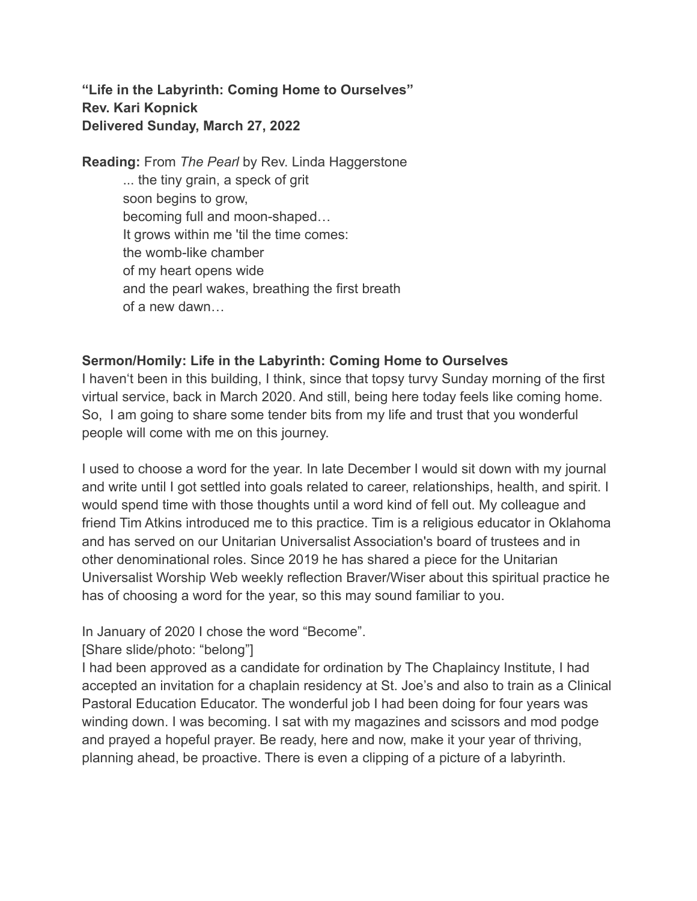## **"Life in the Labyrinth: Coming Home to Ourselves" Rev. Kari Kopnick Delivered Sunday, March 27, 2022**

**Reading:** From *The Pearl* by Rev. Linda Haggerstone ... the tiny grain, a speck of grit soon begins to grow, becoming full and moon-shaped… It grows within me 'til the time comes: the womb-like chamber of my heart opens wide and the pearl wakes, breathing the first breath of a new dawn…

## **Sermon/Homily: Life in the Labyrinth: Coming Home to Ourselves**

I haven't been in this building, I think, since that topsy turvy Sunday morning of the first virtual service, back in March 2020. And still, being here today feels like coming home. So, I am going to share some tender bits from my life and trust that you wonderful people will come with me on this journey.

I used to choose a word for the year. In late December I would sit down with my journal and write until I got settled into goals related to career, relationships, health, and spirit. I would spend time with those thoughts until a word kind of fell out. My colleague and friend Tim Atkins introduced me to this practice. Tim is a religious educator in Oklahoma and has served on our Unitarian Universalist Association's board of trustees and in other denominational roles. Since 2019 he has shared a piece for the Unitarian Universalist Worship Web weekly reflection Braver/Wiser about this spiritual practice he has of choosing a word for the year, so this may sound familiar to you.

In January of 2020 I chose the word "Become".

[Share slide/photo: "belong"]

I had been approved as a candidate for ordination by The Chaplaincy Institute, I had accepted an invitation for a chaplain residency at St. Joe's and also to train as a Clinical Pastoral Education Educator. The wonderful job I had been doing for four years was winding down. I was becoming. I sat with my magazines and scissors and mod podge and prayed a hopeful prayer. Be ready, here and now, make it your year of thriving, planning ahead, be proactive. There is even a clipping of a picture of a labyrinth.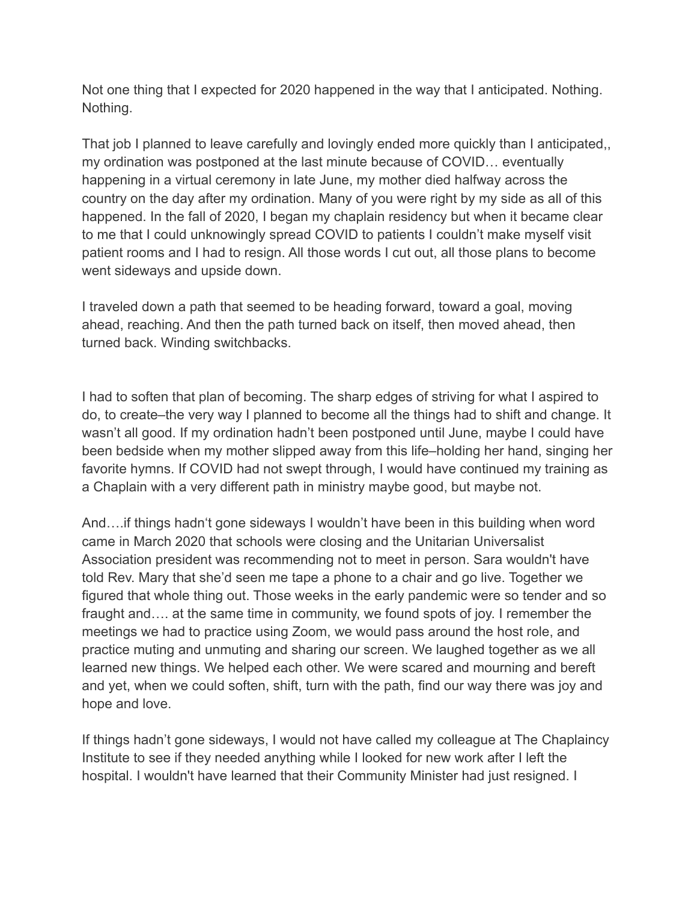Not one thing that I expected for 2020 happened in the way that I anticipated. Nothing. Nothing.

That job I planned to leave carefully and lovingly ended more quickly than I anticipated,, my ordination was postponed at the last minute because of COVID… eventually happening in a virtual ceremony in late June, my mother died halfway across the country on the day after my ordination. Many of you were right by my side as all of this happened. In the fall of 2020, I began my chaplain residency but when it became clear to me that I could unknowingly spread COVID to patients I couldn't make myself visit patient rooms and I had to resign. All those words I cut out, all those plans to become went sideways and upside down.

I traveled down a path that seemed to be heading forward, toward a goal, moving ahead, reaching. And then the path turned back on itself, then moved ahead, then turned back. Winding switchbacks.

I had to soften that plan of becoming. The sharp edges of striving for what I aspired to do, to create–the very way I planned to become all the things had to shift and change. It wasn't all good. If my ordination hadn't been postponed until June, maybe I could have been bedside when my mother slipped away from this life–holding her hand, singing her favorite hymns. If COVID had not swept through, I would have continued my training as a Chaplain with a very different path in ministry maybe good, but maybe not.

And….if things hadn't gone sideways I wouldn't have been in this building when word came in March 2020 that schools were closing and the Unitarian Universalist Association president was recommending not to meet in person. Sara wouldn't have told Rev. Mary that she'd seen me tape a phone to a chair and go live. Together we figured that whole thing out. Those weeks in the early pandemic were so tender and so fraught and…. at the same time in community, we found spots of joy. I remember the meetings we had to practice using Zoom, we would pass around the host role, and practice muting and unmuting and sharing our screen. We laughed together as we all learned new things. We helped each other. We were scared and mourning and bereft and yet, when we could soften, shift, turn with the path, find our way there was joy and hope and love.

If things hadn't gone sideways, I would not have called my colleague at The Chaplaincy Institute to see if they needed anything while I looked for new work after I left the hospital. I wouldn't have learned that their Community Minister had just resigned. I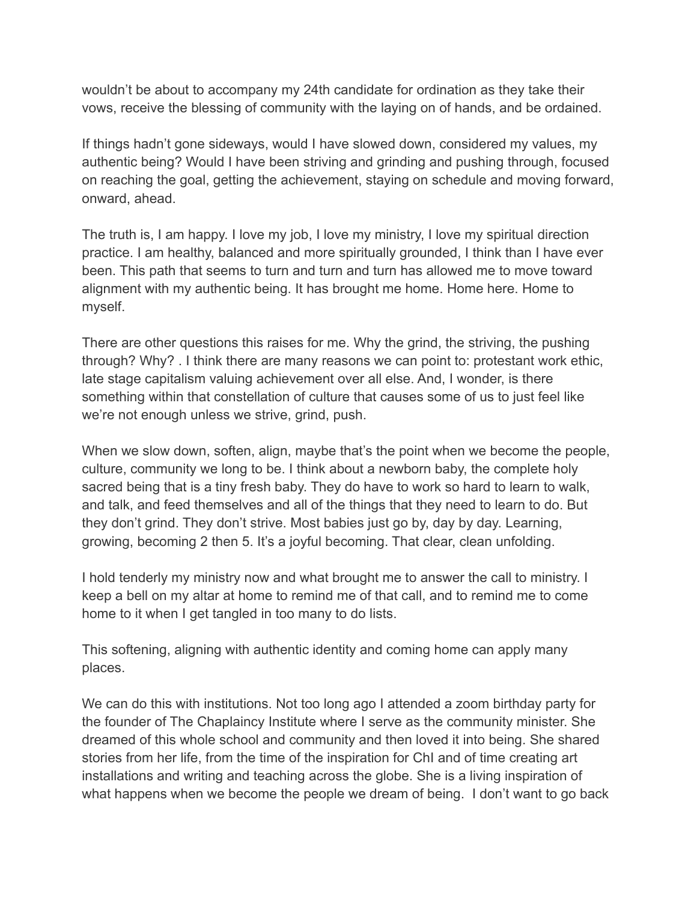wouldn't be about to accompany my 24th candidate for ordination as they take their vows, receive the blessing of community with the laying on of hands, and be ordained.

If things hadn't gone sideways, would I have slowed down, considered my values, my authentic being? Would I have been striving and grinding and pushing through, focused on reaching the goal, getting the achievement, staying on schedule and moving forward, onward, ahead.

The truth is, I am happy. I love my job, I love my ministry, I love my spiritual direction practice. I am healthy, balanced and more spiritually grounded, I think than I have ever been. This path that seems to turn and turn and turn has allowed me to move toward alignment with my authentic being. It has brought me home. Home here. Home to myself.

There are other questions this raises for me. Why the grind, the striving, the pushing through? Why? . I think there are many reasons we can point to: protestant work ethic, late stage capitalism valuing achievement over all else. And, I wonder, is there something within that constellation of culture that causes some of us to just feel like we're not enough unless we strive, grind, push.

When we slow down, soften, align, maybe that's the point when we become the people, culture, community we long to be. I think about a newborn baby, the complete holy sacred being that is a tiny fresh baby. They do have to work so hard to learn to walk, and talk, and feed themselves and all of the things that they need to learn to do. But they don't grind. They don't strive. Most babies just go by, day by day. Learning, growing, becoming 2 then 5. It's a joyful becoming. That clear, clean unfolding.

I hold tenderly my ministry now and what brought me to answer the call to ministry. I keep a bell on my altar at home to remind me of that call, and to remind me to come home to it when I get tangled in too many to do lists.

This softening, aligning with authentic identity and coming home can apply many places.

We can do this with institutions. Not too long ago I attended a zoom birthday party for the founder of The Chaplaincy Institute where I serve as the community minister. She dreamed of this whole school and community and then loved it into being. She shared stories from her life, from the time of the inspiration for ChI and of time creating art installations and writing and teaching across the globe. She is a living inspiration of what happens when we become the people we dream of being. I don't want to go back